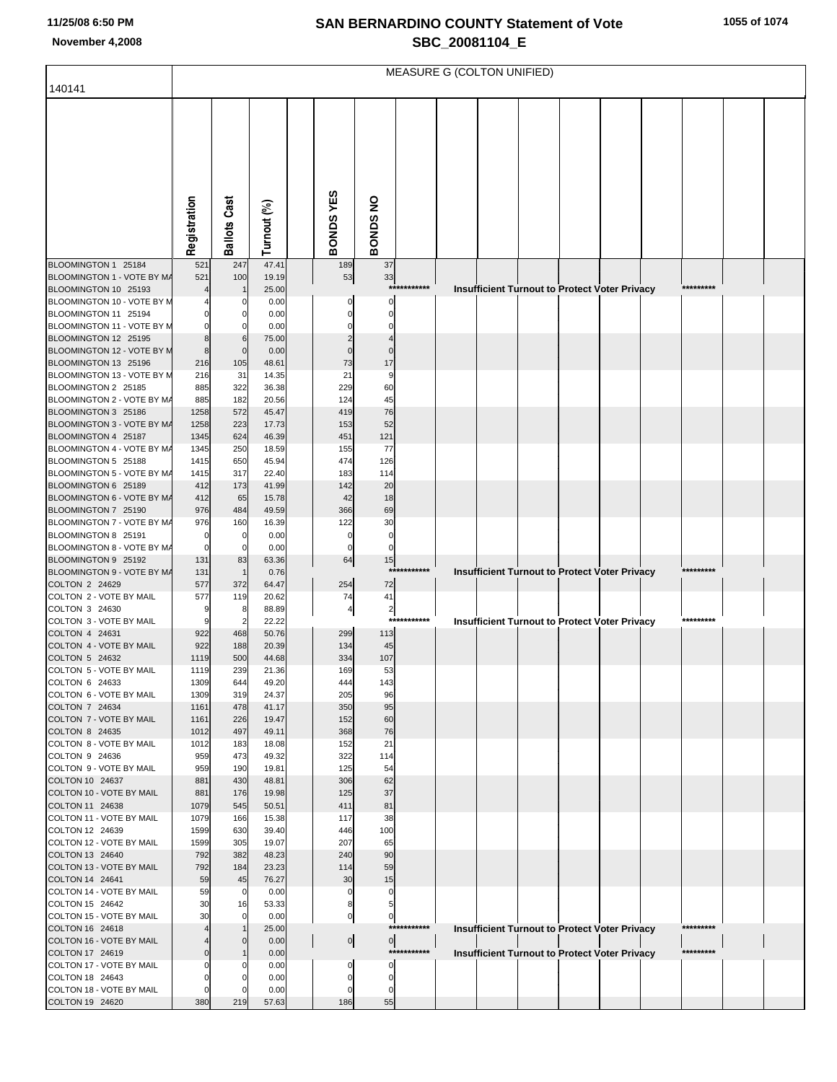# **SAN BERNARDINO COUNTY Statement of Vote November 4,2008 SBC\_20081104\_E**

|                                                    | MEASURE G (COLTON UNIFIED) |                     |                |  |                 |                   |             |  |  |  |  |                                                      |           |  |
|----------------------------------------------------|----------------------------|---------------------|----------------|--|-----------------|-------------------|-------------|--|--|--|--|------------------------------------------------------|-----------|--|
| 140141                                             |                            |                     |                |  |                 |                   |             |  |  |  |  |                                                      |           |  |
|                                                    | Registration               | <b>Ballots Cast</b> | Turnout (%)    |  | BONDSYES        | <b>BONDS NO</b>   |             |  |  |  |  |                                                      |           |  |
| BLOOMINGTON 1 25184                                | 521                        | 247                 | 47.41          |  | 189             | 37                |             |  |  |  |  |                                                      |           |  |
| BLOOMINGTON 1 - VOTE BY M/                         | 521                        | 100                 | 19.19          |  | 53              | 33                |             |  |  |  |  |                                                      |           |  |
| BLOOMINGTON 10 25193<br>BLOOMINGTON 10 - VOTE BY M |                            |                     | 25.00<br>0.00  |  | 0               | 0                 | *********** |  |  |  |  | Insufficient Turnout to Protect Voter Privacy        | ********* |  |
| BLOOMINGTON 11 25194                               |                            |                     | 0.00           |  |                 |                   |             |  |  |  |  |                                                      |           |  |
| BLOOMINGTON 11 - VOTE BY M                         |                            |                     | 0.00           |  |                 |                   |             |  |  |  |  |                                                      |           |  |
| BLOOMINGTON 12 25195                               |                            |                     | 75.00          |  |                 |                   |             |  |  |  |  |                                                      |           |  |
| BLOOMINGTON 12 - VOTE BY M                         | 8                          | $\Omega$            | 0.00           |  |                 | $\Omega$          |             |  |  |  |  |                                                      |           |  |
| BLOOMINGTON 13 25196                               | 216                        | 105                 | 48.61          |  | 73              | 17                |             |  |  |  |  |                                                      |           |  |
| BLOOMINGTON 13 - VOTE BY M<br>BLOOMINGTON 2 25185  | 216<br>885                 | 31<br>322           | 14.35<br>36.38 |  | 21<br>229       | 9<br>60           |             |  |  |  |  |                                                      |           |  |
| BLOOMINGTON 2 - VOTE BY M/                         | 885                        | 182                 | 20.56          |  | 124             | 45                |             |  |  |  |  |                                                      |           |  |
| BLOOMINGTON 3 25186                                | 1258                       | 572                 | 45.47          |  | 419             | 76                |             |  |  |  |  |                                                      |           |  |
| BLOOMINGTON 3 - VOTE BY M/                         | 1258                       | 223                 | 17.73          |  | 153             | 52                |             |  |  |  |  |                                                      |           |  |
| BLOOMINGTON 4 25187                                | 1345                       | 624                 | 46.39          |  | 451             | 121               |             |  |  |  |  |                                                      |           |  |
| BLOOMINGTON 4 - VOTE BY M/<br>BLOOMINGTON 5 25188  | 1345<br>1415               | 250<br>650          | 18.59<br>45.94 |  | 155<br>474      | 77<br>126         |             |  |  |  |  |                                                      |           |  |
| BLOOMINGTON 5 - VOTE BY M/                         | 1415                       | 317                 | 22.40          |  | 183             | 114               |             |  |  |  |  |                                                      |           |  |
| BLOOMINGTON 6 25189                                | 412                        | 173                 | 41.99          |  | 142             | 20                |             |  |  |  |  |                                                      |           |  |
| BLOOMINGTON 6 - VOTE BY MA                         | 412                        | 65                  | 15.78          |  | 42              | 18                |             |  |  |  |  |                                                      |           |  |
| BLOOMINGTON 7 25190                                | 976                        | 484                 | 49.59          |  | 366             | 69                |             |  |  |  |  |                                                      |           |  |
| BLOOMINGTON 7 - VOTE BY M/<br>BLOOMINGTON 8 25191  | 976<br>$\Omega$            | 160<br>0            | 16.39<br>0.00  |  | 122<br>$\Omega$ | 30<br>$\mathbf 0$ |             |  |  |  |  |                                                      |           |  |
| BLOOMINGTON 8 - VOTE BY M/                         | 0                          | 0                   | 0.00           |  | 0               | 0                 |             |  |  |  |  |                                                      |           |  |
| BLOOMINGTON 9 25192                                | 131                        | 83                  | 63.36          |  | 64              | 15                |             |  |  |  |  |                                                      |           |  |
| BLOOMINGTON 9 - VOTE BY M/                         | 131                        |                     | 0.76           |  |                 |                   | *********** |  |  |  |  | Insufficient Turnout to Protect Voter Privacy        | ********* |  |
| COLTON 2 24629<br>COLTON 2 - VOTE BY MAIL          | 577<br>577                 | 372<br>119          | 64.47<br>20.62 |  | 254<br>74       | 72<br>41          |             |  |  |  |  |                                                      |           |  |
| COLTON 3 24630                                     | g                          | 8                   | 88.89          |  | 4               | $\overline{2}$    |             |  |  |  |  |                                                      |           |  |
| COLTON 3 - VOTE BY MAIL                            | 9                          |                     | 22.22          |  |                 | $***$             | *******     |  |  |  |  | Insufficient Turnout to Protect Voter Privacy        | ********* |  |
| COLTON 4 24631                                     | 922                        | 468                 | 50.76          |  | 299             | 113               |             |  |  |  |  |                                                      |           |  |
| COLTON 4 - VOTE BY MAIL<br>COLTON 5 24632          | 922                        | 188                 | 20.39          |  | 134             | 45                |             |  |  |  |  |                                                      |           |  |
| COLTON 5 - VOTE BY MAIL                            | 1119<br>1119               | 500<br>239          | 44.68<br>21.36 |  | 334<br>169      | 107<br>53         |             |  |  |  |  |                                                      |           |  |
| COLTON 6 24633                                     | 1309                       | 644                 | 49.20          |  | 444             | 143               |             |  |  |  |  |                                                      |           |  |
| COLTON 6 - VOTE BY MAIL                            | 1309                       | 319                 | 24.37          |  | 205             | 96                |             |  |  |  |  |                                                      |           |  |
| COLTON 7 24634                                     | 1161                       | 478                 | 41.17          |  | 350             | 95                |             |  |  |  |  |                                                      |           |  |
| COLTON 7 - VOTE BY MAIL<br><b>COLTON 8 24635</b>   | 1161<br>1012               | 226<br>497          | 19.47<br>49.11 |  | 152<br>368      | 60<br>76          |             |  |  |  |  |                                                      |           |  |
| COLTON 8 - VOTE BY MAIL                            | 1012                       | 183                 | 18.08          |  | 152             | 21                |             |  |  |  |  |                                                      |           |  |
| COLTON 9 24636                                     | 959                        | 473                 | 49.32          |  | 322             | 114               |             |  |  |  |  |                                                      |           |  |
| COLTON 9 - VOTE BY MAIL                            | 959                        | 190                 | 19.81          |  | 125             | 54                |             |  |  |  |  |                                                      |           |  |
| COLTON 10 24637<br>COLTON 10 - VOTE BY MAIL        | 881                        | 430                 | 48.81          |  | 306             | 62<br>37          |             |  |  |  |  |                                                      |           |  |
| COLTON 11 24638                                    | 881<br>1079                | 176<br>545          | 19.98<br>50.51 |  | 125<br>411      | 81                |             |  |  |  |  |                                                      |           |  |
| COLTON 11 - VOTE BY MAIL                           | 1079                       | 166                 | 15.38          |  | 117             | 38                |             |  |  |  |  |                                                      |           |  |
| COLTON 12 24639                                    | 1599                       | 630                 | 39.40          |  | 446             | 100               |             |  |  |  |  |                                                      |           |  |
| COLTON 12 - VOTE BY MAIL                           | 1599                       | 305                 | 19.07          |  | 207             | 65                |             |  |  |  |  |                                                      |           |  |
| COLTON 13 24640<br>COLTON 13 - VOTE BY MAIL        | 792<br>792                 | 382                 | 48.23          |  | 240             | 90                |             |  |  |  |  |                                                      |           |  |
| COLTON 14 24641                                    | 59                         | 184<br>45           | 23.23<br>76.27 |  | 114<br>30       | 59<br>15          |             |  |  |  |  |                                                      |           |  |
| COLTON 14 - VOTE BY MAIL                           | 59                         | $\mathbf 0$         | 0.00           |  | $\mathbf 0$     | $\mathbf 0$       |             |  |  |  |  |                                                      |           |  |
| COLTON 15 24642                                    | 30                         | 16                  | 53.33          |  | 8               | 5                 |             |  |  |  |  |                                                      |           |  |
| COLTON 15 - VOTE BY MAIL                           | 30                         | $\mathbf 0$         | 0.00           |  | $\circ$         | $\overline{0}$    |             |  |  |  |  |                                                      |           |  |
| COLTON 16 24618                                    |                            |                     | 25.00          |  |                 |                   | *********** |  |  |  |  | <b>Insufficient Turnout to Protect Voter Privacy</b> | ********* |  |
| COLTON 16 - VOTE BY MAIL<br>COLTON 17 24619        |                            | $\Omega$            | 0.00<br>0.00   |  | $\overline{0}$  | $\overline{0}$    | *********** |  |  |  |  | <b>Insufficient Turnout to Protect Voter Privacy</b> | ********* |  |
| COLTON 17 - VOTE BY MAIL                           |                            |                     | 0.00           |  | $\mathbf 0$     | $\Omega$          |             |  |  |  |  |                                                      |           |  |
| COLTON 18 24643                                    |                            |                     | 0.00           |  | 0               | $\Omega$          |             |  |  |  |  |                                                      |           |  |
| COLTON 18 - VOTE BY MAIL                           |                            | $\Omega$            | 0.00           |  | 0               | 0                 |             |  |  |  |  |                                                      |           |  |
| COLTON 19 24620                                    | 380                        | 219                 | 57.63          |  | 186             | 55                |             |  |  |  |  |                                                      |           |  |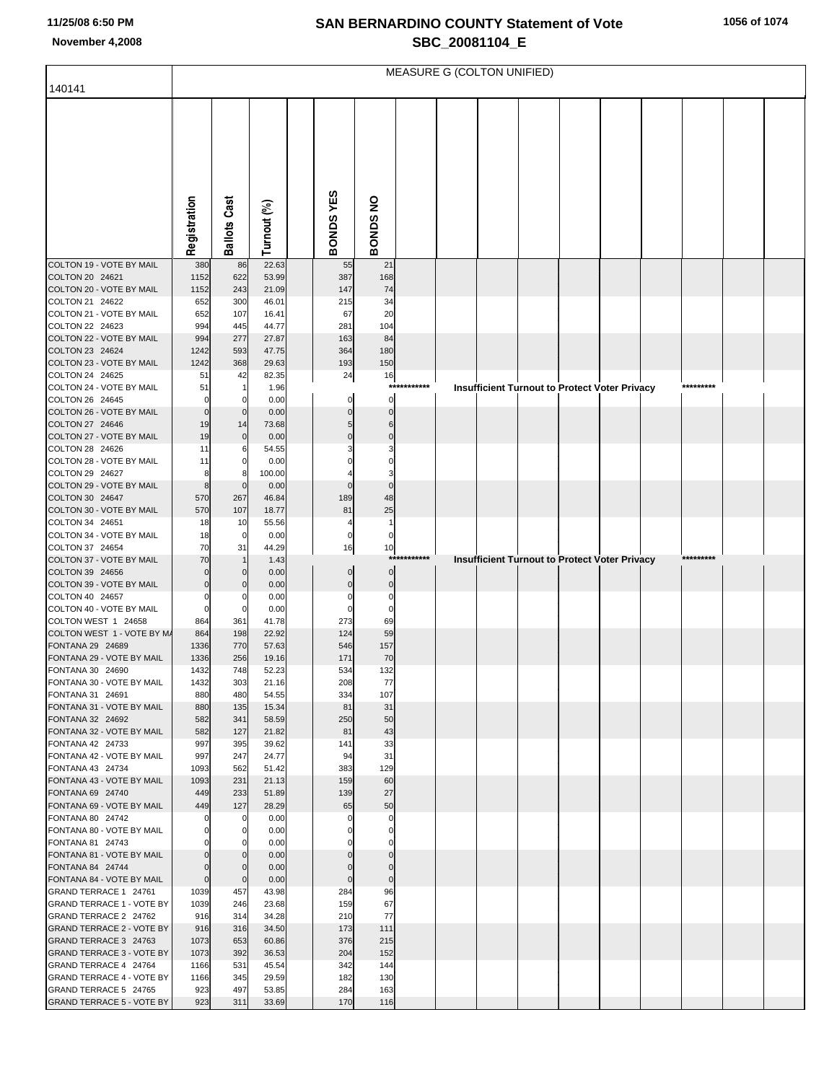# **SAN BERNARDINO COUNTY Statement of Vote November 4,2008 SBC\_20081104\_E**

|                                                           | MEASURE G (COLTON UNIFIED) |                                  |                |  |                   |                   |                  |  |  |  |  |                                                      |           |  |
|-----------------------------------------------------------|----------------------------|----------------------------------|----------------|--|-------------------|-------------------|------------------|--|--|--|--|------------------------------------------------------|-----------|--|
| 140141                                                    |                            |                                  |                |  |                   |                   |                  |  |  |  |  |                                                      |           |  |
|                                                           |                            |                                  |                |  |                   |                   |                  |  |  |  |  |                                                      |           |  |
|                                                           |                            |                                  |                |  |                   |                   |                  |  |  |  |  |                                                      |           |  |
|                                                           |                            |                                  |                |  |                   |                   |                  |  |  |  |  |                                                      |           |  |
|                                                           |                            |                                  |                |  |                   |                   |                  |  |  |  |  |                                                      |           |  |
|                                                           |                            |                                  |                |  |                   |                   |                  |  |  |  |  |                                                      |           |  |
|                                                           |                            |                                  |                |  |                   |                   |                  |  |  |  |  |                                                      |           |  |
|                                                           |                            |                                  |                |  |                   |                   |                  |  |  |  |  |                                                      |           |  |
|                                                           | Registration               | <b>Ballots Cast</b>              | Turnout (%)    |  | BONDSYES          | <b>BONDS NO</b>   |                  |  |  |  |  |                                                      |           |  |
|                                                           |                            |                                  |                |  |                   |                   |                  |  |  |  |  |                                                      |           |  |
| COLTON 19 - VOTE BY MAIL                                  | 380                        | 86                               | 22.63          |  | 55                | 21                |                  |  |  |  |  |                                                      |           |  |
| COLTON 20 24621<br>COLTON 20 - VOTE BY MAIL               | 1152<br>1152               | 622<br>243                       | 53.99<br>21.09 |  | 387<br>147        | 168<br>74         |                  |  |  |  |  |                                                      |           |  |
| COLTON 21 24622                                           | 652                        | 300                              | 46.01          |  | 215               | 34                |                  |  |  |  |  |                                                      |           |  |
| COLTON 21 - VOTE BY MAIL<br>COLTON 22 24623               | 652<br>994                 | 107<br>445                       | 16.41<br>44.77 |  | 67<br>281         | 20<br>104         |                  |  |  |  |  |                                                      |           |  |
| COLTON 22 - VOTE BY MAIL                                  | 994                        | 277                              | 27.87          |  | 163               | 84                |                  |  |  |  |  |                                                      |           |  |
| COLTON 23 24624                                           | 1242                       | 593                              | 47.75          |  | 364               | 180               |                  |  |  |  |  |                                                      |           |  |
| COLTON 23 - VOTE BY MAIL<br>COLTON 24 24625               | 1242<br>51                 | 368<br>42                        | 29.63<br>82.35 |  | 193<br>24         | 150<br>16         |                  |  |  |  |  |                                                      |           |  |
| COLTON 24 - VOTE BY MAIL                                  | 51                         | -1                               | 1.96           |  |                   |                   | ***********      |  |  |  |  | Insufficient Turnout to Protect Voter Privacy        | ********* |  |
| COLTON 26 24645<br>COLTON 26 - VOTE BY MAIL               | $\Omega$<br>$\Omega$       | 0<br>$\mathbf 0$                 | 0.00<br>0.00   |  |                   | 0<br>C            |                  |  |  |  |  |                                                      |           |  |
| COLTON 27 24646                                           | 19                         | 14                               | 73.68          |  |                   | h                 |                  |  |  |  |  |                                                      |           |  |
| COLTON 27 - VOTE BY MAIL                                  | 19                         | $\mathbf 0$                      | 0.00           |  |                   |                   |                  |  |  |  |  |                                                      |           |  |
| COLTON 28 24626<br>COLTON 28 - VOTE BY MAIL               | 11<br>11                   | 6<br>$\mathbf 0$                 | 54.55<br>0.00  |  |                   |                   |                  |  |  |  |  |                                                      |           |  |
| COLTON 29 24627                                           | 8                          | 8                                | 100.00         |  |                   |                   |                  |  |  |  |  |                                                      |           |  |
| COLTON 29 - VOTE BY MAIL                                  | 8                          | $\mathbf 0$                      | 0.00           |  |                   |                   |                  |  |  |  |  |                                                      |           |  |
| COLTON 30 24647<br>COLTON 30 - VOTE BY MAIL               | 570<br>570                 | 267<br>107                       | 46.84<br>18.77 |  | 189<br>81         | 48<br>25          |                  |  |  |  |  |                                                      |           |  |
| COLTON 34 24651                                           | 18                         | 10                               | 55.56          |  |                   | $\overline{1}$    |                  |  |  |  |  |                                                      |           |  |
| COLTON 34 - VOTE BY MAIL<br>COLTON 37 24654               | 18<br>70                   | $\mathbf 0$<br>31                | 0.00<br>44.29  |  | 0<br>16           | $\mathbf 0$<br>10 |                  |  |  |  |  |                                                      |           |  |
| COLTON 37 - VOTE BY MAIL                                  | 70                         |                                  | 1.43           |  |                   |                   | ******<br>****** |  |  |  |  | <b>Insufficient Turnout to Protect Voter Privacy</b> | ********* |  |
| COLTON 39 24656                                           |                            | $\mathbf 0$                      | 0.00           |  | 0                 | $\Omega$          |                  |  |  |  |  |                                                      |           |  |
| COLTON 39 - VOTE BY MAIL<br>COLTON 40 24657               |                            | $\mathbf 0$<br>$\overline{0}$    | 0.00<br>0.00   |  | C                 | 0<br>C            |                  |  |  |  |  |                                                      |           |  |
| COLTON 40 - VOTE BY MAIL                                  | 0                          | $\mathbf 0$                      | 0.00           |  |                   | C                 |                  |  |  |  |  |                                                      |           |  |
| COLTON WEST 1 24658<br>COLTON WEST 1 - VOTE BY M/         | 864<br>864                 | 361                              | 41.78<br>22.92 |  | 273<br>124        | 69<br>59          |                  |  |  |  |  |                                                      |           |  |
| FONTANA 29 24689                                          | 1336                       | 198<br>770                       | 57.63          |  | 546               | 157               |                  |  |  |  |  |                                                      |           |  |
| FONTANA 29 - VOTE BY MAIL                                 | 1336                       | 256                              | 19.16          |  | 171               | 70                |                  |  |  |  |  |                                                      |           |  |
| FONTANA 30 24690<br>FONTANA 30 - VOTE BY MAIL             | 1432<br>1432               | 748<br>303                       | 52.23<br>21.16 |  | 534<br>208        | 132<br>77         |                  |  |  |  |  |                                                      |           |  |
| FONTANA 31 24691                                          | 880                        | 480                              | 54.55          |  | 334               | 107               |                  |  |  |  |  |                                                      |           |  |
| FONTANA 31 - VOTE BY MAIL<br>FONTANA 32 24692             | 880<br>582                 | 135<br>341                       | 15.34<br>58.59 |  | 81<br>250         | 31<br>50          |                  |  |  |  |  |                                                      |           |  |
| FONTANA 32 - VOTE BY MAIL                                 | 582                        | 127                              | 21.82          |  | 81                | 43                |                  |  |  |  |  |                                                      |           |  |
| FONTANA 42 24733                                          | 997                        | 395                              | 39.62          |  | 141               | 33                |                  |  |  |  |  |                                                      |           |  |
| FONTANA 42 - VOTE BY MAIL<br>FONTANA 43 24734             | 997<br>1093                | 247<br>562                       | 24.77<br>51.42 |  | 94<br>383         | 31<br>129         |                  |  |  |  |  |                                                      |           |  |
| FONTANA 43 - VOTE BY MAIL                                 | 1093                       | 231                              | 21.13          |  | 159               | 60                |                  |  |  |  |  |                                                      |           |  |
| FONTANA 69 24740<br>FONTANA 69 - VOTE BY MAIL             | 449<br>449                 | 233<br>127                       | 51.89<br>28.29 |  | 139               | 27<br>50          |                  |  |  |  |  |                                                      |           |  |
| FONTANA 80 24742                                          | 0                          | 0                                | 0.00           |  | 65<br>C           | $\mathbf 0$       |                  |  |  |  |  |                                                      |           |  |
| FONTANA 80 - VOTE BY MAIL                                 |                            | $\overline{0}$                   | 0.00           |  |                   | 0                 |                  |  |  |  |  |                                                      |           |  |
| FONTANA 81 24743<br>FONTANA 81 - VOTE BY MAIL             |                            | $\overline{0}$<br>$\overline{0}$ | 0.00<br>0.00   |  |                   | C<br>C            |                  |  |  |  |  |                                                      |           |  |
| FONTANA 84 24744                                          | $\Omega$                   | $\mathbf 0$                      | 0.00           |  | C                 | $\Omega$          |                  |  |  |  |  |                                                      |           |  |
| FONTANA 84 - VOTE BY MAIL<br>GRAND TERRACE 1 24761        | $\mathbf 0$<br>1039        | $\mathbf{0}$<br>457              | 0.00<br>43.98  |  | $\epsilon$<br>284 | $\mathbf 0$<br>96 |                  |  |  |  |  |                                                      |           |  |
| GRAND TERRACE 1 - VOTE BY                                 | 1039                       | 246                              | 23.68          |  | 159               | 67                |                  |  |  |  |  |                                                      |           |  |
| GRAND TERRACE 2 24762                                     | 916                        | 314                              | 34.28          |  | 210               | 77                |                  |  |  |  |  |                                                      |           |  |
| <b>GRAND TERRACE 2 - VOTE BY</b><br>GRAND TERRACE 3 24763 | 916<br>1073                | 316<br>653                       | 34.50<br>60.86 |  | 173<br>376        | 111<br>215        |                  |  |  |  |  |                                                      |           |  |
| <b>GRAND TERRACE 3 - VOTE BY</b>                          | 1073                       | 392                              | 36.53          |  | 204               | 152               |                  |  |  |  |  |                                                      |           |  |
| GRAND TERRACE 4 24764                                     | 1166                       | 531                              | 45.54          |  | 342               | 144               |                  |  |  |  |  |                                                      |           |  |
| GRAND TERRACE 4 - VOTE BY<br>GRAND TERRACE 5 24765        | 1166<br>923                | 345<br>497                       | 29.59<br>53.85 |  | 182<br>284        | 130<br>163        |                  |  |  |  |  |                                                      |           |  |
| <b>GRAND TERRACE 5 - VOTE BY</b>                          | 923                        | 311                              | 33.69          |  | 170               | 116               |                  |  |  |  |  |                                                      |           |  |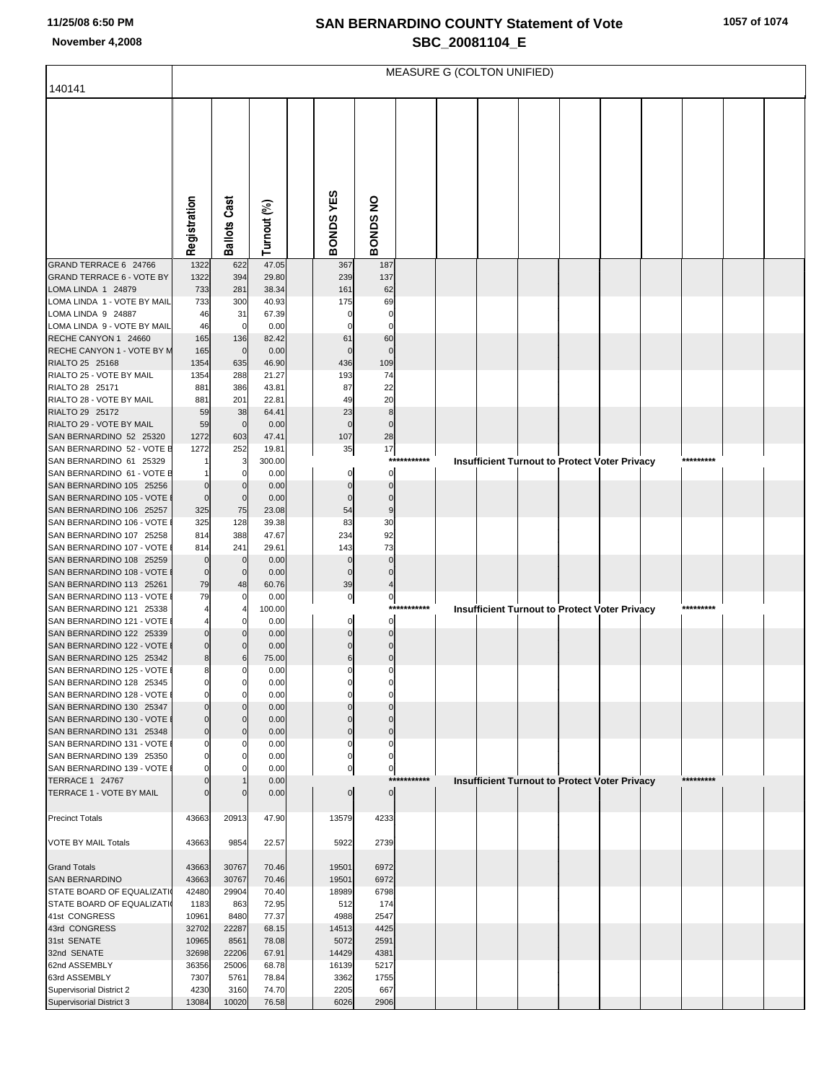# **SAN BERNARDINO COUNTY Statement of Vote November 4,2008 SBC\_20081104\_E**

| 1057 of 1074 |  |  |  |  |
|--------------|--|--|--|--|
|--------------|--|--|--|--|

|                                                         | MEASURE G (COLTON UNIFIED) |                            |                |                    |                      |             |  |                                                      |  |  |  |  |           |  |
|---------------------------------------------------------|----------------------------|----------------------------|----------------|--------------------|----------------------|-------------|--|------------------------------------------------------|--|--|--|--|-----------|--|
| 140141                                                  |                            |                            |                |                    |                      |             |  |                                                      |  |  |  |  |           |  |
|                                                         |                            |                            |                |                    |                      |             |  |                                                      |  |  |  |  |           |  |
|                                                         |                            |                            |                |                    |                      |             |  |                                                      |  |  |  |  |           |  |
|                                                         |                            |                            |                |                    |                      |             |  |                                                      |  |  |  |  |           |  |
|                                                         |                            |                            |                |                    |                      |             |  |                                                      |  |  |  |  |           |  |
|                                                         |                            |                            |                |                    |                      |             |  |                                                      |  |  |  |  |           |  |
|                                                         |                            |                            |                |                    |                      |             |  |                                                      |  |  |  |  |           |  |
|                                                         |                            |                            |                |                    |                      |             |  |                                                      |  |  |  |  |           |  |
|                                                         | Registration               | <b>Ballots Cast</b>        | Turnout (%)    | BONDSYES           | <b>BONDS NO</b>      |             |  |                                                      |  |  |  |  |           |  |
|                                                         |                            |                            |                |                    |                      |             |  |                                                      |  |  |  |  |           |  |
| GRAND TERRACE 6 24766                                   | 1322                       | 622                        | 47.05          | 367                | 187                  |             |  |                                                      |  |  |  |  |           |  |
| <b>GRAND TERRACE 6 - VOTE BY</b><br>LOMA LINDA 1 24879  | 1322<br>733                | 394<br>281                 | 29.80<br>38.34 | 239<br>161         | 137<br>62            |             |  |                                                      |  |  |  |  |           |  |
| LOMA LINDA 1 - VOTE BY MAIL                             | 733                        | 300                        | 40.93          | 175                | 69                   |             |  |                                                      |  |  |  |  |           |  |
| LOMA LINDA 9 24887                                      | 46                         | 31<br>$\mathbf 0$          | 67.39          |                    | 0<br>C               |             |  |                                                      |  |  |  |  |           |  |
| LOMA LINDA 9 - VOTE BY MAIL<br>RECHE CANYON 1 24660     | 46<br>165                  | 136                        | 0.00<br>82.42  | 61                 | 60                   |             |  |                                                      |  |  |  |  |           |  |
| RECHE CANYON 1 - VOTE BY M                              | 165                        | $\mathbf 0$                | 0.00           | $\Omega$           | $\Omega$             |             |  |                                                      |  |  |  |  |           |  |
| RIALTO 25 25168<br>RIALTO 25 - VOTE BY MAIL             | 1354<br>1354               | 635<br>288                 | 46.90<br>21.27 | 436<br>193         | 109<br>74            |             |  |                                                      |  |  |  |  |           |  |
| RIALTO 28 25171                                         | 881                        | 386                        | 43.81          | 87                 | 22                   |             |  |                                                      |  |  |  |  |           |  |
| RIALTO 28 - VOTE BY MAIL                                | 881                        | 201                        | 22.81          | 49                 | 20                   |             |  |                                                      |  |  |  |  |           |  |
| RIALTO 29 25172<br>RIALTO 29 - VOTE BY MAIL             | 59                         | 38                         | 64.41          | 23<br>$\mathbf{0}$ | 8<br>$\mathbf{0}$    |             |  |                                                      |  |  |  |  |           |  |
| SAN BERNARDINO 52 25320                                 | 59<br>1272                 | $\mathbf 0$<br>603         | 0.00<br>47.41  | 107                | 28                   |             |  |                                                      |  |  |  |  |           |  |
| SAN BERNARDINO 52 - VOTE E                              | 1272                       | 252                        | 19.81          | 35                 | 17                   |             |  |                                                      |  |  |  |  |           |  |
| SAN BERNARDINO 61 25329<br>SAN BERNARDINO 61 - VOTE E   |                            | 3<br>0                     | 300.00<br>0.00 | 0                  | ***<br>0             | *****       |  | <b>Insufficient Turnout to Protect Voter Privacy</b> |  |  |  |  | ********* |  |
| SAN BERNARDINO 105 25256                                | $\Omega$                   | $\Omega$                   | 0.00           | $\Omega$           | $\Omega$             |             |  |                                                      |  |  |  |  |           |  |
| SAN BERNARDINO 105 - VOTE                               | $\mathbf 0$                | $\mathbf 0$                | 0.00           | $\Omega$           | $\mathbf{0}$         |             |  |                                                      |  |  |  |  |           |  |
| SAN BERNARDINO 106 25257<br>SAN BERNARDINO 106 - VOTE   | 325<br>325                 | 75<br>128                  | 23.08<br>39.38 | 54<br>83           | 9<br>30              |             |  |                                                      |  |  |  |  |           |  |
| SAN BERNARDINO 107 25258                                | 814                        | 388                        | 47.67          | 234                | 92                   |             |  |                                                      |  |  |  |  |           |  |
| SAN BERNARDINO 107 - VOTE                               | 814                        | 241                        | 29.61          | 143                | 73                   |             |  |                                                      |  |  |  |  |           |  |
| SAN BERNARDINO 108 25259<br>SAN BERNARDINO 108 - VOTE   | $\Omega$<br>$\mathbf 0$    | $\mathbf 0$<br>$\mathbf 0$ | 0.00<br>0.00   | 0<br>$\Omega$      | $\Omega$<br>$\Omega$ |             |  |                                                      |  |  |  |  |           |  |
| SAN BERNARDINO 113 25261                                | 79                         | 48                         | 60.76          | 39                 |                      |             |  |                                                      |  |  |  |  |           |  |
| SAN BERNARDINO 113 - VOTE                               | 79                         | 0                          | 0.00           | $\overline{0}$     | $\mathbf{0}$         |             |  |                                                      |  |  |  |  |           |  |
| SAN BERNARDINO 121 25338<br>SAN BERNARDINO 121 - VOTE   |                            | 0                          | 100.00<br>0.00 | 0                  | ***<br>0             | ****        |  | <b>Insufficient Turnout to Protect Voter Privacy</b> |  |  |  |  | ********* |  |
| SAN BERNARDINO 122 25339                                | $\Omega$                   | n                          | 0.00           | ŋ                  | $\Omega$             |             |  |                                                      |  |  |  |  |           |  |
| SAN BERNARDINO 122 - VOTE                               | $\mathbf 0$                | 0                          | 0.00           | O                  | n                    |             |  |                                                      |  |  |  |  |           |  |
| SAN BERNARDINO 125 25342<br>SAN BERNARDINO 125 - VOTE   | 8<br>8                     | 6<br>0                     | 75.00<br>0.00  | 6<br>0             | $\mathbf 0$<br>0     |             |  |                                                      |  |  |  |  |           |  |
| SAN BERNARDINO 128 25345                                | 0                          | 0                          | 0.00           | $\mathbf{0}$       | U                    |             |  |                                                      |  |  |  |  |           |  |
| SAN BERNARDINO 128 - VOTE                               | $\overline{0}$<br>$\Omega$ | $\Omega$                   | 0.00           | $\Omega$<br>ŋ      | U<br>$\Omega$        |             |  |                                                      |  |  |  |  |           |  |
| SAN BERNARDINO 130 25347<br>SAN BERNARDINO 130 - VOTE I | $\mathbf 0$                | O<br>$\mathbf 0$           | 0.00<br>0.00   | $\Omega$           | $\Omega$             |             |  |                                                      |  |  |  |  |           |  |
| SAN BERNARDINO 131 25348                                | $\overline{0}$             | $\Omega$                   | 0.00           | $\overline{0}$     | $\Omega$             |             |  |                                                      |  |  |  |  |           |  |
| SAN BERNARDINO 131 - VOTE I<br>SAN BERNARDINO 139 25350 | 0<br>$\Omega$              | 0<br>0                     | 0.00<br>0.00   | 0<br>$\mathbf{0}$  | 0<br>$\mathbf{0}$    |             |  |                                                      |  |  |  |  |           |  |
| SAN BERNARDINO 139 - VOTE I                             | $\Omega$                   | $\Omega$                   | 0.00           | 0                  | $\mathbf{0}$         |             |  |                                                      |  |  |  |  |           |  |
| TERRACE 1 24767                                         |                            |                            | 0.00           |                    |                      | *********** |  | Insufficient Turnout to Protect Voter Privacy        |  |  |  |  | ********* |  |
| TERRACE 1 - VOTE BY MAIL                                |                            | $\Omega$                   | 0.00           | 0                  | $\overline{0}$       |             |  |                                                      |  |  |  |  |           |  |
| <b>Precinct Totals</b>                                  | 43663                      | 20913                      | 47.90          | 13579              | 4233                 |             |  |                                                      |  |  |  |  |           |  |
|                                                         |                            |                            |                |                    |                      |             |  |                                                      |  |  |  |  |           |  |
| VOTE BY MAIL Totals                                     | 43663                      | 9854                       | 22.57          | 5922               | 2739                 |             |  |                                                      |  |  |  |  |           |  |
| <b>Grand Totals</b>                                     | 43663                      | 30767                      | 70.46          | 19501              | 6972                 |             |  |                                                      |  |  |  |  |           |  |
| SAN BERNARDINO                                          | 43663                      | 30767                      | 70.46          | 19501              | 6972                 |             |  |                                                      |  |  |  |  |           |  |
| STATE BOARD OF EQUALIZATI<br>STATE BOARD OF EQUALIZATI  | 42480<br>1183              | 29904<br>863               | 70.40<br>72.95 | 18989<br>512       | 6798<br>174          |             |  |                                                      |  |  |  |  |           |  |
| 41st CONGRESS                                           | 10961                      | 8480                       | 77.37          | 4988               | 2547                 |             |  |                                                      |  |  |  |  |           |  |
| 43rd CONGRESS                                           | 32702                      | 22287                      | 68.15          | 14513              | 4425                 |             |  |                                                      |  |  |  |  |           |  |
| 31st SENATE<br>32nd SENATE                              | 10965<br>32698             | 8561<br>22206              | 78.08<br>67.91 | 5072<br>14429      | 2591<br>4381         |             |  |                                                      |  |  |  |  |           |  |
| 62nd ASSEMBLY                                           | 36356                      | 25006                      | 68.78          | 16139              | 5217                 |             |  |                                                      |  |  |  |  |           |  |
| 63rd ASSEMBLY<br>Supervisorial District 2               | 7307<br>4230               | 5761<br>3160               | 78.84<br>74.70 | 3362<br>2205       | 1755<br>667          |             |  |                                                      |  |  |  |  |           |  |
| Supervisorial District 3                                | 13084                      | 10020                      | 76.58          | 6026               | 2906                 |             |  |                                                      |  |  |  |  |           |  |
|                                                         |                            |                            |                |                    |                      |             |  |                                                      |  |  |  |  |           |  |